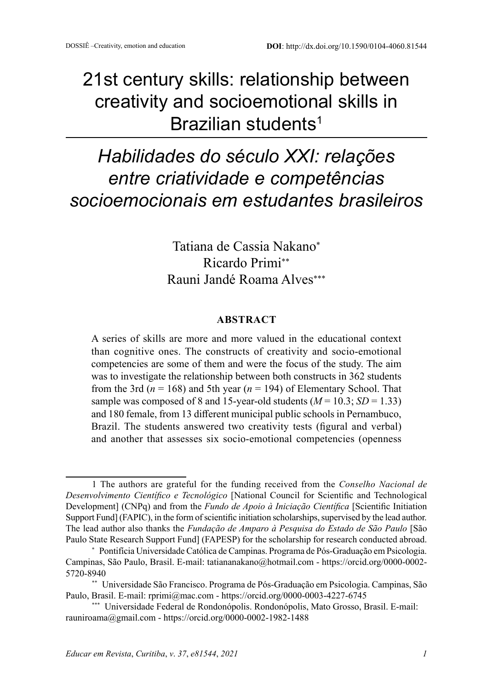## 21st century skills: relationship between creativity and socioemotional skills in Brazilian students<sup>1</sup>

# *Habilidades do século XXI: relações entre criatividade e competências socioemocionais em estudantes brasileiros*

Tatiana de Cassia Nakano<sup>∗</sup> Ricardo Primi∗∗ Rauni Jandé Roama Alves∗∗∗

#### **ABSTRACT**

A series of skills are more and more valued in the educational context than cognitive ones. The constructs of creativity and socio-emotional competencies are some of them and were the focus of the study. The aim was to investigate the relationship between both constructs in 362 students from the 3rd ( $n = 168$ ) and 5th year ( $n = 194$ ) of Elementary School. That sample was composed of 8 and 15-year-old students  $(M = 10.3; SD = 1.33)$ and 180 female, from 13 different municipal public schools in Pernambuco, Brazil. The students answered two creativity tests (figural and verbal) and another that assesses six socio-emotional competencies (openness

<sup>1</sup> The authors are grateful for the funding received from the *Conselho Nacional de Desenvolvimento Científico e Tecnológico* [National Council for Scientific and Technological Development] (CNPq) and from the *Fundo de Apoio à Iniciação Científica* [Scientific Initiation Support Fund] (FAPIC), in the form of scientific initiation scholarships, supervised by the lead author. The lead author also thanks the *Fundação de Amparo à Pesquisa do Estado de São Paulo* [São Paulo State Research Support Fund] (FAPESP) for the scholarship for research conducted abroad.

<sup>\*</sup> Pontifícia Universidade Católica de Campinas. Programa de Pós-Graduação em Psicologia. Campinas, São Paulo, Brasil. E-mail: tatiananakano@hotmail.com - https://orcid.org/0000-0002- 5720-8940

<sup>\*\*</sup> Universidade São Francisco. Programa de Pós-Graduação em Psicologia. Campinas, São Paulo, Brasil. E-mail: rprimi@mac.com - https://orcid.org/0000-0003-4227-6745

<sup>\*\*\*</sup> Universidade Federal de Rondonópolis. Rondonópolis, Mato Grosso, Brasil. E-mail: rauniroama@gmail.com - https://orcid.org/0000-0002-1982-1488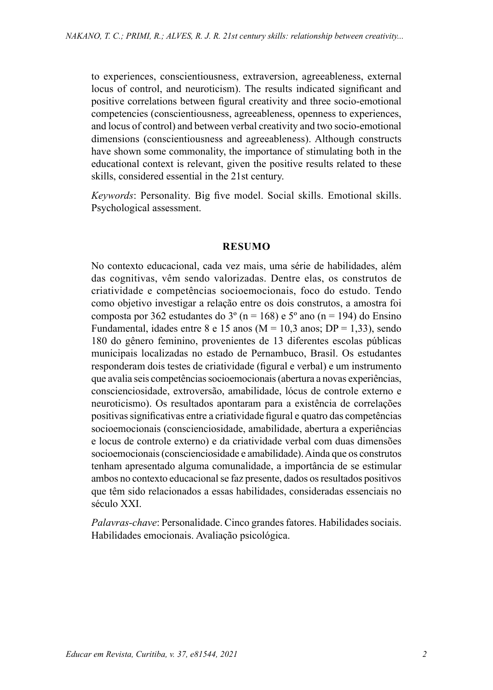to experiences, conscientiousness, extraversion, agreeableness, external locus of control, and neuroticism). The results indicated significant and positive correlations between figural creativity and three socio-emotional competencies (conscientiousness, agreeableness, openness to experiences, and locus of control) and between verbal creativity and two socio-emotional dimensions (conscientiousness and agreeableness). Although constructs have shown some commonality, the importance of stimulating both in the educational context is relevant, given the positive results related to these skills, considered essential in the 21st century.

*Keywords*: Personality. Big five model. Social skills. Emotional skills. Psychological assessment.

#### **RESUMO**

No contexto educacional, cada vez mais, uma série de habilidades, além das cognitivas, vêm sendo valorizadas. Dentre elas, os construtos de criatividade e competências socioemocionais, foco do estudo. Tendo como objetivo investigar a relação entre os dois construtos, a amostra foi composta por 362 estudantes do 3<sup>o</sup> (n = 168) e 5<sup>o</sup> ano (n = 194) do Ensino Fundamental, idades entre 8 e 15 anos ( $M = 10.3$  anos;  $DP = 1.33$ ), sendo 180 do gênero feminino, provenientes de 13 diferentes escolas públicas municipais localizadas no estado de Pernambuco, Brasil. Os estudantes responderam dois testes de criatividade (figural e verbal) e um instrumento que avalia seis competências socioemocionais (abertura a novas experiências, conscienciosidade, extroversão, amabilidade, lócus de controle externo e neuroticismo). Os resultados apontaram para a existência de correlações positivas significativas entre a criatividade figural e quatro das competências socioemocionais (conscienciosidade, amabilidade, abertura a experiências e locus de controle externo) e da criatividade verbal com duas dimensões socioemocionais (conscienciosidade e amabilidade). Ainda que os construtos tenham apresentado alguma comunalidade, a importância de se estimular ambos no contexto educacional se faz presente, dados os resultados positivos que têm sido relacionados a essas habilidades, consideradas essenciais no século XXI.

*Palavras-chave*: Personalidade. Cinco grandes fatores. Habilidades sociais. Habilidades emocionais. Avaliação psicológica.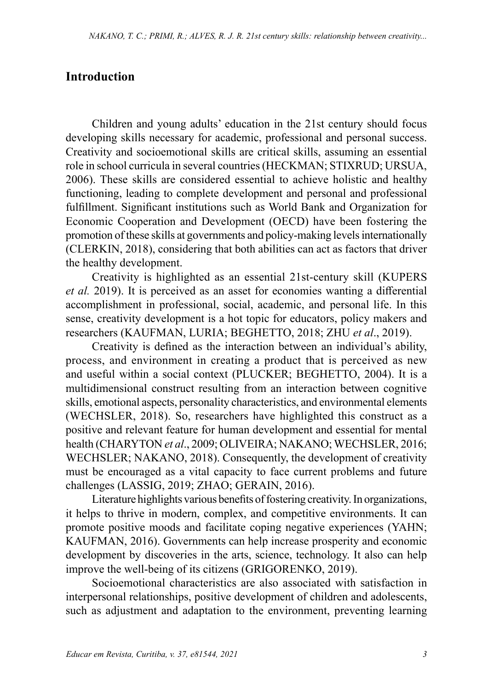#### **Introduction**

Children and young adults' education in the 21st century should focus developing skills necessary for academic, professional and personal success. Creativity and socioemotional skills are critical skills, assuming an essential role in school curricula in several countries (HECKMAN; STIXRUD; URSUA, 2006). These skills are considered essential to achieve holistic and healthy functioning, leading to complete development and personal and professional fulfillment. Significant institutions such as World Bank and Organization for Economic Cooperation and Development (OECD) have been fostering the promotion of these skills at governments and policy-making levels internationally (CLERKIN, 2018), considering that both abilities can act as factors that driver the healthy development.

Creativity is highlighted as an essential 21st-century skill (KUPERS *et al.* 2019). It is perceived as an asset for economies wanting a differential accomplishment in professional, social, academic, and personal life. In this sense, creativity development is a hot topic for educators, policy makers and researchers (KAUFMAN, LURIA; BEGHETTO, 2018; ZHU *et al*., 2019).

Creativity is defined as the interaction between an individual's ability, process, and environment in creating a product that is perceived as new and useful within a social context (PLUCKER; BEGHETTO, 2004). It is a multidimensional construct resulting from an interaction between cognitive skills, emotional aspects, personality characteristics, and environmental elements (WECHSLER, 2018). So, researchers have highlighted this construct as a positive and relevant feature for human development and essential for mental health (CHARYTON *et al*., 2009; OLIVEIRA; NAKANO; WECHSLER, 2016; WECHSLER; NAKANO, 2018). Consequently, the development of creativity must be encouraged as a vital capacity to face current problems and future challenges (LASSIG, 2019; ZHAO; GERAIN, 2016).

Literature highlights various benefits of fostering creativity. In organizations, it helps to thrive in modern, complex, and competitive environments. It can promote positive moods and facilitate coping negative experiences (YAHN; KAUFMAN, 2016). Governments can help increase prosperity and economic development by discoveries in the arts, science, technology. It also can help improve the well-being of its citizens (GRIGORENKO, 2019).

Socioemotional characteristics are also associated with satisfaction in interpersonal relationships, positive development of children and adolescents, such as adjustment and adaptation to the environment, preventing learning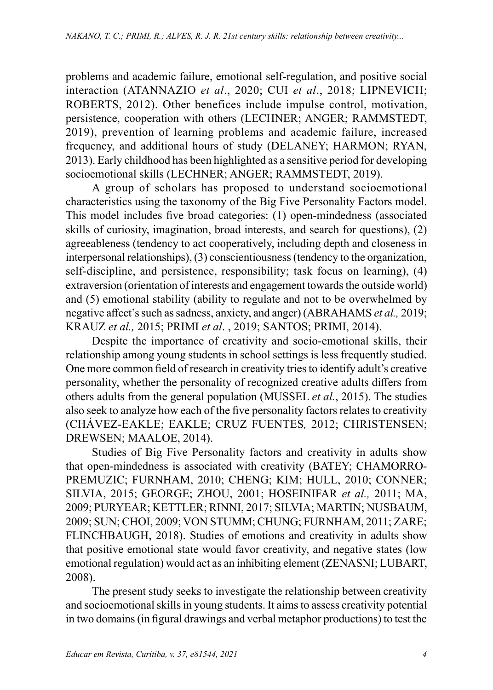problems and academic failure, emotional self-regulation, and positive social interaction (ATANNAZIO *et al*., 2020; CUI *et al*., 2018; LIPNEVICH; ROBERTS, 2012). Other benefices include impulse control, motivation, persistence, cooperation with others (LECHNER; ANGER; RAMMSTEDT, 2019), prevention of learning problems and academic failure, increased frequency, and additional hours of study (DELANEY; HARMON; RYAN, 2013). Early childhood has been highlighted as a sensitive period for developing socioemotional skills (LECHNER; ANGER; RAMMSTEDT, 2019).

A group of scholars has proposed to understand socioemotional characteristics using the taxonomy of the Big Five Personality Factors model. This model includes five broad categories: (1) open-mindedness (associated skills of curiosity, imagination, broad interests, and search for questions), (2) agreeableness (tendency to act cooperatively, including depth and closeness in interpersonal relationships), (3) conscientiousness (tendency to the organization, self-discipline, and persistence, responsibility; task focus on learning), (4) extraversion (orientation of interests and engagement towards the outside world) and (5) emotional stability (ability to regulate and not to be overwhelmed by negative affect's such as sadness, anxiety, and anger) (ABRAHAMS *et al.,* 2019; KRAUZ *et al.,* 2015; PRIMI *et al*. , 2019; SANTOS; PRIMI, 2014).

Despite the importance of creativity and socio-emotional skills, their relationship among young students in school settings is less frequently studied. One more common field of research in creativity tries to identify adult's creative personality, whether the personality of recognized creative adults differs from others adults from the general population (MUSSEL *et al.*, 2015). The studies also seek to analyze how each of the five personality factors relates to creativity (CHÁVEZ-EAKLE; EAKLE; CRUZ FUENTES*,* 2012; CHRISTENSEN; DREWSEN; MAALOE, 2014).

Studies of Big Five Personality factors and creativity in adults show that open-mindedness is associated with creativity (BATEY; CHAMORRO-PREMUZIC; FURNHAM, 2010; CHENG; KIM; HULL, 2010; CONNER; SILVIA, 2015; GEORGE; ZHOU, 2001; HOSEINIFAR *et al.,* 2011; MA, 2009; PURYEAR; KETTLER; RINNI, 2017; SILVIA; MARTIN; NUSBAUM, 2009; SUN; CHOI, 2009; VON STUMM; CHUNG; FURNHAM, 2011; ZARE; FLINCHBAUGH, 2018). Studies of emotions and creativity in adults show that positive emotional state would favor creativity, and negative states (low emotional regulation) would act as an inhibiting element (ZENASNI; LUBART, 2008).

The present study seeks to investigate the relationship between creativity and socioemotional skills in young students. It aims to assess creativity potential in two domains (in figural drawings and verbal metaphor productions) to test the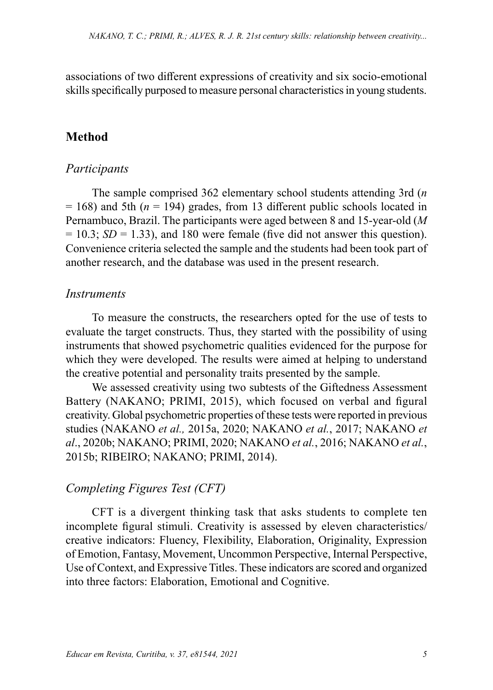associations of two different expressions of creativity and six socio-emotional skills specifically purposed to measure personal characteristics in young students.

### **Method**

#### *Participants*

The sample comprised 362 elementary school students attending 3rd (*n*  $= 168$ ) and 5th ( $n = 194$ ) grades, from 13 different public schools located in Pernambuco, Brazil. The participants were aged between 8 and 15-year-old (*M*  $= 10.3$ ; *SD* = 1.33), and 180 were female (five did not answer this question). Convenience criteria selected the sample and the students had been took part of another research, and the database was used in the present research.

#### *Instruments*

To measure the constructs, the researchers opted for the use of tests to evaluate the target constructs. Thus, they started with the possibility of using instruments that showed psychometric qualities evidenced for the purpose for which they were developed. The results were aimed at helping to understand the creative potential and personality traits presented by the sample.

We assessed creativity using two subtests of the Giftedness Assessment Battery (NAKANO; PRIMI, 2015), which focused on verbal and figural creativity. Global psychometric properties of these tests were reported in previous studies (NAKANO *et al.,* 2015a, 2020; NAKANO *et al.*, 2017; NAKANO *et al*., 2020b; NAKANO; PRIMI, 2020; NAKANO *et al.*, 2016; NAKANO *et al.*, 2015b; RIBEIRO; NAKANO; PRIMI, 2014).

#### *Completing Figures Test (CFT)*

CFT is a divergent thinking task that asks students to complete ten incomplete figural stimuli. Creativity is assessed by eleven characteristics/ creative indicators: Fluency, Flexibility, Elaboration, Originality, Expression of Emotion, Fantasy, Movement, Uncommon Perspective, Internal Perspective, Use of Context, and Expressive Titles. These indicators are scored and organized into three factors: Elaboration, Emotional and Cognitive.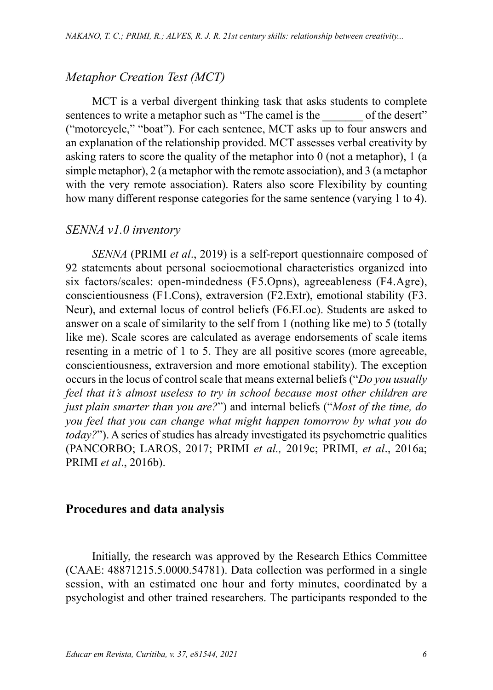#### *Metaphor Creation Test (MCT)*

MCT is a verbal divergent thinking task that asks students to complete sentences to write a metaphor such as "The camel is the of the desert" ("motorcycle," "boat"). For each sentence, MCT asks up to four answers and an explanation of the relationship provided. MCT assesses verbal creativity by asking raters to score the quality of the metaphor into 0 (not a metaphor), 1 (a simple metaphor), 2 (a metaphor with the remote association), and 3 (a metaphor with the very remote association). Raters also score Flexibility by counting how many different response categories for the same sentence (varying 1 to 4).

#### *SENNA v1.0 inventory*

*SENNA* (PRIMI *et al*., 2019) is a self-report questionnaire composed of 92 statements about personal socioemotional characteristics organized into six factors/scales: open-mindedness (F5.Opns), agreeableness (F4.Agre), conscientiousness (F1.Cons), extraversion (F2.Extr), emotional stability (F3. Neur), and external locus of control beliefs (F6.ELoc). Students are asked to answer on a scale of similarity to the self from 1 (nothing like me) to 5 (totally like me). Scale scores are calculated as average endorsements of scale items resenting in a metric of 1 to 5. They are all positive scores (more agreeable, conscientiousness, extraversion and more emotional stability). The exception occurs in the locus of control scale that means external beliefs ("*Do you usually feel that it's almost useless to try in school because most other children are just plain smarter than you are?*") and internal beliefs ("*Most of the time, do you feel that you can change what might happen tomorrow by what you do today?*"). A series of studies has already investigated its psychometric qualities (PANCORBO; LAROS, 2017; PRIMI *et al.,* 2019c; PRIMI, *et al*., 2016a; PRIMI *et al*., 2016b).

#### **Procedures and data analysis**

Initially, the research was approved by the Research Ethics Committee (CAAE: 48871215.5.0000.54781). Data collection was performed in a single session, with an estimated one hour and forty minutes, coordinated by a psychologist and other trained researchers. The participants responded to the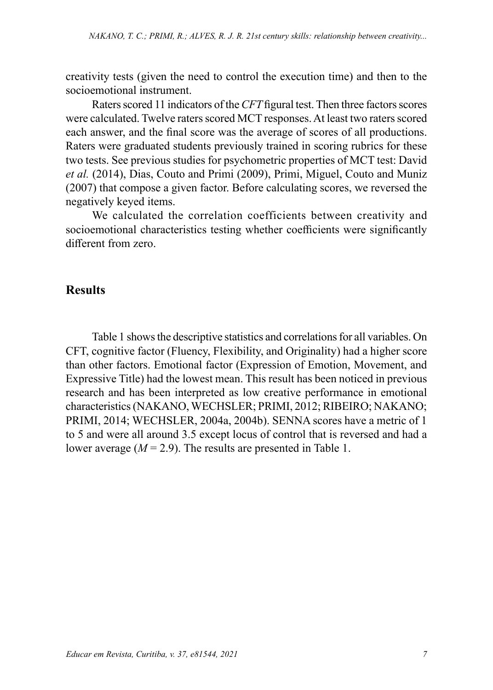creativity tests (given the need to control the execution time) and then to the socioemotional instrument.

Raters scored 11 indicators of the *CFT* figural test. Then three factors scores were calculated. Twelve raters scored MCT responses. At least two raters scored each answer, and the final score was the average of scores of all productions. Raters were graduated students previously trained in scoring rubrics for these two tests. See previous studies for psychometric properties of MCT test: David *et al.* (2014), Dias, Couto and Primi (2009), Primi, Miguel, Couto and Muniz (2007) that compose a given factor. Before calculating scores, we reversed the negatively keyed items.

We calculated the correlation coefficients between creativity and socioemotional characteristics testing whether coefficients were significantly different from zero.

### **Results**

Table 1 shows the descriptive statistics and correlations for all variables. On CFT, cognitive factor (Fluency, Flexibility, and Originality) had a higher score than other factors. Emotional factor (Expression of Emotion, Movement, and Expressive Title) had the lowest mean. This result has been noticed in previous research and has been interpreted as low creative performance in emotional characteristics (NAKANO, WECHSLER; PRIMI, 2012; RIBEIRO; NAKANO; PRIMI, 2014; WECHSLER, 2004a, 2004b). SENNA scores have a metric of 1 to 5 and were all around 3.5 except locus of control that is reversed and had a lower average  $(M = 2.9)$ . The results are presented in Table 1.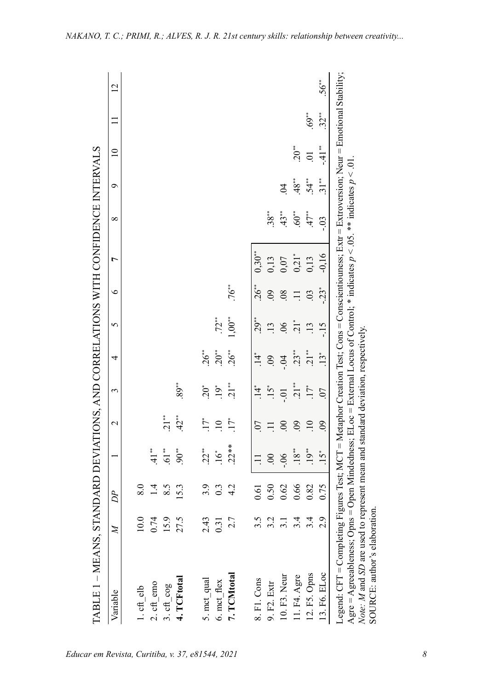| TABLE 1 – MEANS, STANDARD DEVIATIONS, AND CORRELATIONS WITH CONFIDENCE INTERVALS                                                                                                                                                                                                                                                                                                      |                |                  |                          |                 |                |            |              |                 |                     |                    |                    |                 |           |                |
|---------------------------------------------------------------------------------------------------------------------------------------------------------------------------------------------------------------------------------------------------------------------------------------------------------------------------------------------------------------------------------------|----------------|------------------|--------------------------|-----------------|----------------|------------|--------------|-----------------|---------------------|--------------------|--------------------|-----------------|-----------|----------------|
| Variable                                                                                                                                                                                                                                                                                                                                                                              | $\overline{M}$ | D P              |                          | $\sim$          | 3              | 4          | $\mathbf{S}$ | $\circ$         | $\overline{ }$      | $\infty$           | $\circ$            | $\overline{10}$ |           | $\overline{2}$ |
|                                                                                                                                                                                                                                                                                                                                                                                       |                |                  |                          |                 |                |            |              |                 |                     |                    |                    |                 |           |                |
| 1. cft elb                                                                                                                                                                                                                                                                                                                                                                            | 10.0           | 8.0              |                          |                 |                |            |              |                 |                     |                    |                    |                 |           |                |
| 2. cft_emo                                                                                                                                                                                                                                                                                                                                                                            | 0.74           | 1.4              | $\frac{1}{4}$            |                 |                |            |              |                 |                     |                    |                    |                 |           |                |
| 3. cft_cog                                                                                                                                                                                                                                                                                                                                                                            | 15.9           | 8.5              | $\mathbf{61}^{\ast\ast}$ | $\frac{1}{2}$   |                |            |              |                 |                     |                    |                    |                 |           |                |
| 4. TCFtotal                                                                                                                                                                                                                                                                                                                                                                           | 27.5           | 5.3              | $90^{\circ}$             | 42"             | 89             |            |              |                 |                     |                    |                    |                 |           |                |
| 5. mct qual                                                                                                                                                                                                                                                                                                                                                                           | 2.43           | 3.9              | $.22**$                  | $\ddot{1}$      | $.20*$         | $26$ **    |              |                 |                     |                    |                    |                 |           |                |
| 6. mct flex                                                                                                                                                                                                                                                                                                                                                                           | 0.31           | $0.\overline{3}$ | $\ddot{16}$              | $\overline{10}$ | $.19*$         | $20^{**}$  | $.72$ **     |                 |                     |                    |                    |                 |           |                |
| 7. TCMtotal                                                                                                                                                                                                                                                                                                                                                                           | 2.7            | 4.2              | $.22**$                  | $\ddot{1}$      | $\frac{1}{2}$  | 26"        | $1,00^{**}$  | .76             |                     |                    |                    |                 |           |                |
|                                                                                                                                                                                                                                                                                                                                                                                       |                |                  |                          |                 |                |            |              |                 |                     |                    |                    |                 |           |                |
| 8. F1. Cons                                                                                                                                                                                                                                                                                                                                                                           | 3.5            | 0.61             |                          | $\overline{0}$  |                | $\ddot{4}$ | °°; 0        | $.26***$        | $0.30**$            |                    |                    |                 |           |                |
| 9. F2. Extr                                                                                                                                                                                                                                                                                                                                                                           | 3.2            | 0.50             | $\overline{0}$           |                 |                |            | 13           | .09             | 0,13                | .38                |                    |                 |           |                |
| 10. F3. Neur                                                                                                                                                                                                                                                                                                                                                                          |                | 0.62             | $-0.5$                   | 00              | $-0.01$        |            | 06           | $\overline{08}$ | 0,07                | 43"                |                    |                 |           |                |
| 11. F4. Agre                                                                                                                                                                                                                                                                                                                                                                          | 3.4            | 0.66             | $.18***$                 | 09              | $\frac{1}{21}$ | 23"        | 21"          | $\Xi$           | $0,21$ <sup>*</sup> | $.60^{\circ\circ}$ | .48                | $20^{**}$       |           |                |
| 12. F5. Opns                                                                                                                                                                                                                                                                                                                                                                          | 3.4            | 0.82             | 19"                      | $\overline{10}$ | $.17*$         | 21"        | .13          | $\overline{0}$  | 0,13                | 47"                | $54**$             | $\Xi$           | $.69"$    |                |
| 13. F6. ELoc                                                                                                                                                                                                                                                                                                                                                                          | 2.9            | 0.75             | $.15^*$                  | 60              | $\overline{0}$ | $.13*$     | $-15$        | $-23$           | $-0.16$             | $-0.3$             | $31$ <sup>**</sup> | $-41"$          | $32^{**}$ | .56"           |
| Legend: CFT = Completing Figures Test; MCT = Metaphor Creation Test; Cons = Conscientiouness; Extr = Extroversion; Neur = Emotional Stability;<br>Agre = Agreeableness; Opns = Open Mindedness; ELoc = External Locus of Control; * indicates $p < 0.05$ . * * indicates $p < 0.1$ .<br><i>Note: M</i> and <i>SD</i> are used to represent mean and standard deviation, respectively. |                |                  |                          |                 |                |            |              |                 |                     |                    |                    |                 |           |                |
| SOURCE: author's elaboration.                                                                                                                                                                                                                                                                                                                                                         |                |                  |                          |                 |                |            |              |                 |                     |                    |                    |                 |           |                |

*NAKANO, T. C.; PRIMI, R.; ALVES, R. J. R. 21st century skills: relationship between creativity...*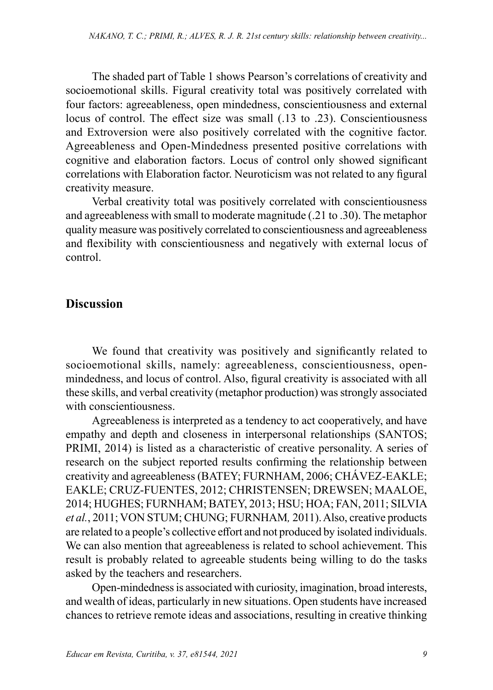The shaded part of Table 1 shows Pearson's correlations of creativity and socioemotional skills. Figural creativity total was positively correlated with four factors: agreeableness, open mindedness, conscientiousness and external locus of control. The effect size was small (.13 to .23). Conscientiousness and Extroversion were also positively correlated with the cognitive factor. Agreeableness and Open-Mindedness presented positive correlations with cognitive and elaboration factors. Locus of control only showed significant correlations with Elaboration factor. Neuroticism was not related to any figural creativity measure.

Verbal creativity total was positively correlated with conscientiousness and agreeableness with small to moderate magnitude (.21 to .30). The metaphor quality measure was positively correlated to conscientiousness and agreeableness and flexibility with conscientiousness and negatively with external locus of control.

#### **Discussion**

We found that creativity was positively and significantly related to socioemotional skills, namely: agreeableness, conscientiousness, openmindedness, and locus of control. Also, figural creativity is associated with all these skills, and verbal creativity (metaphor production) was strongly associated with conscientiousness.

Agreeableness is interpreted as a tendency to act cooperatively, and have empathy and depth and closeness in interpersonal relationships (SANTOS; PRIMI, 2014) is listed as a characteristic of creative personality. A series of research on the subject reported results confirming the relationship between creativity and agreeableness (BATEY; FURNHAM, 2006; CHÁVEZ-EAKLE; EAKLE; CRUZ-FUENTES, 2012; CHRISTENSEN; DREWSEN; MAALOE, 2014; HUGHES; FURNHAM; BATEY, 2013; HSU; HOA; FAN, 2011; SILVIA *et al.*, 2011; VON STUM; CHUNG; FURNHAM*,* 2011). Also, creative products are related to a people's collective effort and not produced by isolated individuals. We can also mention that agreeableness is related to school achievement. This result is probably related to agreeable students being willing to do the tasks asked by the teachers and researchers.

Open-mindedness is associated with curiosity, imagination, broad interests, and wealth of ideas, particularly in new situations. Open students have increased chances to retrieve remote ideas and associations, resulting in creative thinking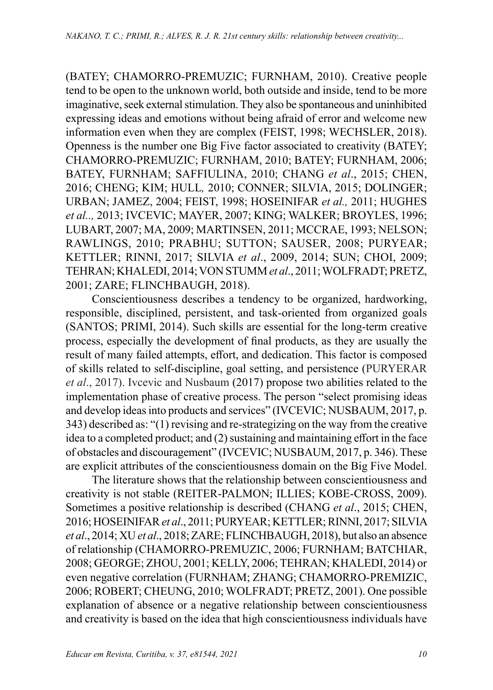(BATEY; CHAMORRO-PREMUZIC; FURNHAM, 2010). Creative people tend to be open to the unknown world, both outside and inside, tend to be more imaginative, seek external stimulation. They also be spontaneous and uninhibited expressing ideas and emotions without being afraid of error and welcome new information even when they are complex (FEIST, 1998; WECHSLER, 2018). Openness is the number one Big Five factor associated to creativity (BATEY; CHAMORRO-PREMUZIC; FURNHAM, 2010; BATEY; FURNHAM, 2006; BATEY, FURNHAM; SAFFIULINA, 2010; CHANG *et al*., 2015; CHEN, 2016; CHENG; KIM; HULL*,* 2010; CONNER; SILVIA, 2015; DOLINGER; URBAN; JAMEZ, 2004; FEIST, 1998; HOSEINIFAR *et al.,* 2011; HUGHES *et al..,* 2013; IVCEVIC; MAYER, 2007; KING; WALKER; BROYLES, 1996; LUBART, 2007; MA, 2009; MARTINSEN, 2011; MCCRAE, 1993; NELSON; RAWLINGS, 2010; PRABHU; SUTTON; SAUSER, 2008; PURYEAR; KETTLER; RINNI, 2017; SILVIA *et al*., 2009, 2014; SUN; CHOI, 2009; TEHRAN; KHALEDI, 2014; VON STUMM *et al*., 2011; WOLFRADT; PRETZ, 2001; ZARE; FLINCHBAUGH, 2018).

Conscientiousness describes a tendency to be organized, hardworking, responsible, disciplined, persistent, and task-oriented from organized goals (SANTOS; PRIMI, 2014). Such skills are essential for the long-term creative process, especially the development of final products, as they are usually the result of many failed attempts, effort, and dedication. This factor is composed of skills related to self-discipline, goal setting, and persistence (PURYERAR *et al*., 2017). Ivcevic and Nusbaum (2017) propose two abilities related to the implementation phase of creative process. The person "select promising ideas and develop ideas into products and services" (IVCEVIC; NUSBAUM, 2017, p. 343) described as: "(1) revising and re-strategizing on the way from the creative idea to a completed product; and (2) sustaining and maintaining effort in the face of obstacles and discouragement" (IVCEVIC; NUSBAUM, 2017, p. 346). These are explicit attributes of the conscientiousness domain on the Big Five Model.

The literature shows that the relationship between conscientiousness and creativity is not stable (REITER-PALMON; ILLIES; KOBE-CROSS, 2009). Sometimes a positive relationship is described (CHANG *et al*., 2015; CHEN, 2016; HOSEINIFAR *et al*., 2011; PURYEAR; KETTLER; RINNI, 2017; SILVIA *et al*., 2014; XU *et al*., 2018; ZARE; FLINCHBAUGH, 2018), but also an absence of relationship (CHAMORRO-PREMUZIC, 2006; FURNHAM; BATCHIAR, 2008; GEORGE; ZHOU, 2001; KELLY, 2006; TEHRAN; KHALEDI, 2014) or even negative correlation (FURNHAM; ZHANG; CHAMORRO-PREMIZIC, 2006; ROBERT; CHEUNG, 2010; WOLFRADT; PRETZ, 2001). One possible explanation of absence or a negative relationship between conscientiousness and creativity is based on the idea that high conscientiousness individuals have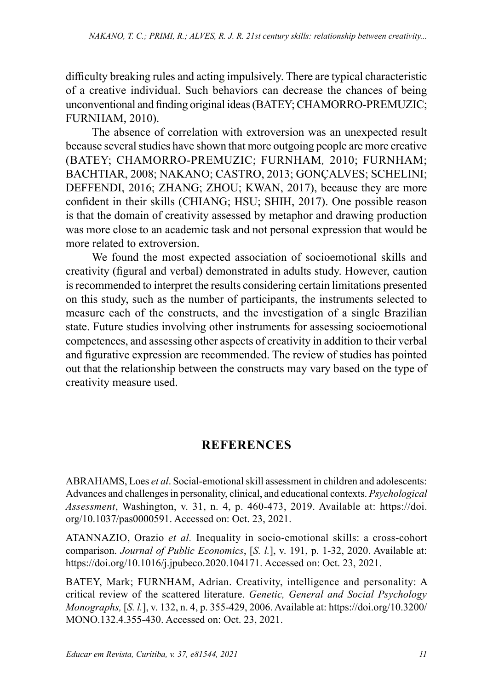difficulty breaking rules and acting impulsively. There are typical characteristic of a creative individual. Such behaviors can decrease the chances of being unconventional and finding original ideas (BATEY; CHAMORRO-PREMUZIC; FURNHAM, 2010).

The absence of correlation with extroversion was an unexpected result because several studies have shown that more outgoing people are more creative (BATEY; CHAMORRO-PREMUZIC; FURNHAM*,* 2010; FURNHAM; BACHTIAR, 2008; NAKANO; CASTRO, 2013; GONÇALVES; SCHELINI; DEFFENDI, 2016; ZHANG; ZHOU; KWAN, 2017), because they are more confident in their skills (CHIANG; HSU; SHIH, 2017). One possible reason is that the domain of creativity assessed by metaphor and drawing production was more close to an academic task and not personal expression that would be more related to extroversion.

We found the most expected association of socioemotional skills and creativity (figural and verbal) demonstrated in adults study. However, caution is recommended to interpret the results considering certain limitations presented on this study, such as the number of participants, the instruments selected to measure each of the constructs, and the investigation of a single Brazilian state. Future studies involving other instruments for assessing socioemotional competences, and assessing other aspects of creativity in addition to their verbal and figurative expression are recommended. The review of studies has pointed out that the relationship between the constructs may vary based on the type of creativity measure used.

## **REFERENCES**

ABRAHAMS, Loes *et al*. Social-emotional skill assessment in children and adolescents: Advances and challenges in personality, clinical, and educational contexts. *Psychological Assessment*, Washington, v. 31, n. 4, p. 460-473, 2019. Available at: https://doi. org/10.1037/pas0000591. Accessed on: Oct. 23, 2021.

ATANNAZIO, Orazio *et al.* Inequality in socio-emotional skills: a cross-cohort comparison. *Journal of Public Economics*, [*S. l.*], v. 191, p. 1-32, 2020. Available at: https://doi.org/10.1016/j.jpubeco.2020.104171. Accessed on: Oct. 23, 2021.

BATEY, Mark; FURNHAM, Adrian. Creativity, intelligence and personality: A critical review of the scattered literature. *Genetic, General and Social Psychology Monographs,* [*S. l.*], v. 132, n. 4, p. 355-429, 2006. Available at: https://doi.org/10.3200/ MONO.132.4.355-430. Accessed on: Oct. 23, 2021.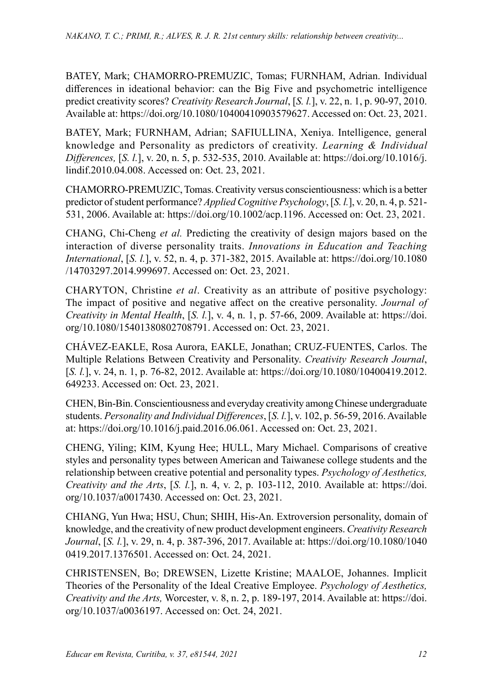BATEY, Mark; CHAMORRO-PREMUZIC, Tomas; FURNHAM, Adrian. Individual differences in ideational behavior: can the Big Five and psychometric intelligence predict creativity scores? *Creativity Research Journal*, [*S. l.*], v. 22, n. 1, p. 90-97, 2010. Available at: https://doi.org/10.1080/10400410903579627. Accessed on: Oct. 23, 2021.

BATEY, Mark; FURNHAM, Adrian; SAFIULLINA, Xeniya. Intelligence, general knowledge and Personality as predictors of creativity. *Learning & Individual Differences,* [*S. l.*], v. 20, n. 5, p. 532-535, 2010. Available at: https://doi.org/10.1016/j. lindif.2010.04.008. Accessed on: Oct. 23, 2021.

CHAMORRO-PREMUZIC, Tomas. Creativity versus conscientiousness: which is a better predictor of student performance? *Applied Cognitive Psychology*, [*S. l.*], v. 20, n. 4, p. 521- 531, 2006. Available at: https://doi.org/10.1002/acp.1196. Accessed on: Oct. 23, 2021.

CHANG, Chi-Cheng *et al.* Predicting the creativity of design majors based on the interaction of diverse personality traits. *Innovations in Education and Teaching International*, [*S. l.*], v. 52, n. 4, p. 371-382, 2015. Available at: https://doi.org/10.1080 /14703297.2014.999697. Accessed on: Oct. 23, 2021.

CHARYTON, Christine *et al*. Creativity as an attribute of positive psychology: The impact of positive and negative affect on the creative personality. *Journal of Creativity in Mental Health*, [*S. l.*], v. 4, n. 1, p. 57-66, 2009. Available at: https://doi. org/10.1080/15401380802708791. Accessed on: Oct. 23, 2021.

CHÁVEZ-EAKLE, Rosa Aurora, EAKLE, Jonathan; CRUZ-FUENTES, Carlos. The Multiple Relations Between Creativity and Personality. *Creativity Research Journal*, [*S. l.*], v. 24, n. 1, p. 76-82, 2012. Available at: https://doi.org/10.1080/10400419.2012. 649233. Accessed on: Oct. 23, 2021.

CHEN, Bin-Bin. Conscientiousness and everyday creativity among Chinese undergraduate students. *Personality and Individual Differences*, [*S. l.*], v. 102, p. 56-59, 2016. Available at: https://doi.org/10.1016/j.paid.2016.06.061. Accessed on: Oct. 23, 2021.

CHENG, Yiling; KIM, Kyung Hee; HULL, Mary Michael. Comparisons of creative styles and personality types between American and Taiwanese college students and the relationship between creative potential and personality types. *Psychology of Aesthetics, Creativity and the Arts*, [*S. l.*], n. 4, v. 2, p. 103-112, 2010. Available at: https://doi. org/10.1037/a0017430. Accessed on: Oct. 23, 2021.

CHIANG, Yun Hwa; HSU, Chun; SHIH, His-An. Extroversion personality, domain of knowledge, and the creativity of new product development engineers. *Creativity Research Journal*, [*S. l.*], v. 29, n. 4, p. 387-396, 2017. Available at: https://doi.org/10.1080/1040 0419.2017.1376501. Accessed on: Oct. 24, 2021.

CHRISTENSEN, Bo; DREWSEN, Lizette Kristine; MAALOE, Johannes. Implicit Theories of the Personality of the Ideal Creative Employee. *Psychology of Aesthetics, Creativity and the Arts,* Worcester, v. 8, n. 2, p. 189-197, 2014. Available at: https://doi. org/10.1037/a0036197. Accessed on: Oct. 24, 2021.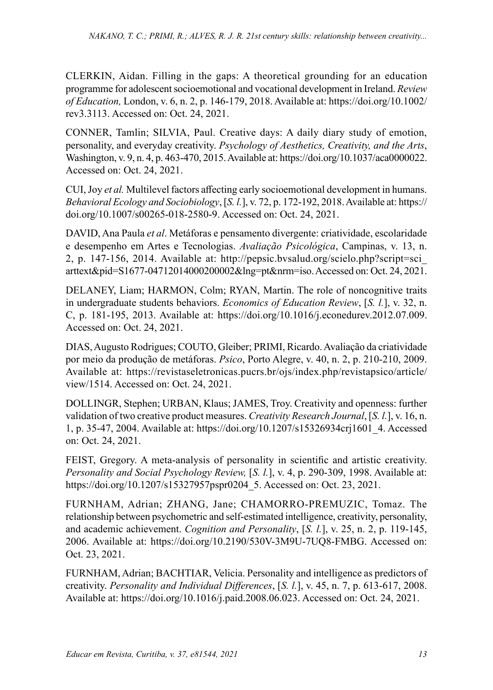CLERKIN, Aidan. Filling in the gaps: A theoretical grounding for an education programme for adolescent socioemotional and vocational development in Ireland. *Review of Education,* London, v. 6, n. 2, p. 146-179, 2018. Available at: https://doi.org/10.1002/ rev3.3113. Accessed on: Oct. 24, 2021.

CONNER, Tamlin; SILVIA, Paul. Creative days: A daily diary study of emotion, personality, and everyday creativity. *Psychology of Aesthetics, Creativity, and the Arts*, Washington, v. 9, n. 4, p. 463-470, 2015. Available at: https://doi.org/10.1037/aca0000022. Accessed on: Oct. 24, 2021.

CUI, Joy *et al.* Multilevel factors affecting early socioemotional development in humans. *Behavioral Ecology and Sociobiology*, [*S. l.*], v. 72, p. 172-192, 2018. Available at: https:// doi.org/10.1007/s00265-018-2580-9. Accessed on: Oct. 24, 2021.

DAVID, Ana Paula *et al*. Metáforas e pensamento divergente: criatividade, escolaridade e desempenho em Artes e Tecnologias. *Avaliação Psicológica*, Campinas, v. 13, n. 2, p. 147-156, 2014. Available at: http://pepsic.bvsalud.org/scielo.php?script=sci\_ arttext&pid=S1677-04712014000200002&lng=pt&nrm=iso. Accessed on: Oct. 24, 2021.

DELANEY, Liam; HARMON, Colm; RYAN, Martin. The role of noncognitive traits in undergraduate students behaviors. *Economics of Education Review*, [*S. l.*], v. 32, n. C, p. 181-195, 2013. Available at: https://doi.org/10.1016/j.econedurev.2012.07.009. Accessed on: Oct. 24, 2021.

DIAS, Augusto Rodrigues; COUTO, Gleiber; PRIMI, Ricardo. Avaliação da criatividade por meio da produção de metáforas. *Psico*, Porto Alegre, v. 40, n. 2, p. 210-210, 2009. Available at: https://revistaseletronicas.pucrs.br/ojs/index.php/revistapsico/article/ view/1514. Accessed on: Oct. 24, 2021.

DOLLINGR, Stephen; URBAN, Klaus; JAMES, Troy. Creativity and openness: further validation of two creative product measures. *Creativity Research Journal*, [*S. l.*], v. 16, n. 1, p. 35-47, 2004. Available at: https://doi.org/10.1207/s15326934crj1601\_4. Accessed on: Oct. 24, 2021.

FEIST, Gregory. A meta-analysis of personality in scientific and artistic creativity. *Personality and Social Psychology Review,* [*S. l.*], v. 4, p. 290-309, 1998. Available at: https://doi.org/10.1207/s15327957pspr0204\_5. Accessed on: Oct. 23, 2021.

FURNHAM, Adrian; ZHANG, Jane; CHAMORRO-PREMUZIC, Tomaz. The relationship between psychometric and self-estimated intelligence, creativity, personality, and academic achievement. *Cognition and Personality*, [*S. l.*], v. 25, n. 2, p. 119-145, 2006. Available at: https://doi.org/10.2190/530V-3M9U-7UQ8-FMBG. Accessed on: Oct. 23, 2021.

FURNHAM, Adrian; BACHTIAR, Velicia. Personality and intelligence as predictors of creativity. *Personality and Individual Differences*, [*S. l.*], v. 45, n. 7, p. 613-617, 2008. Available at: https://doi.org/10.1016/j.paid.2008.06.023. Accessed on: Oct. 24, 2021.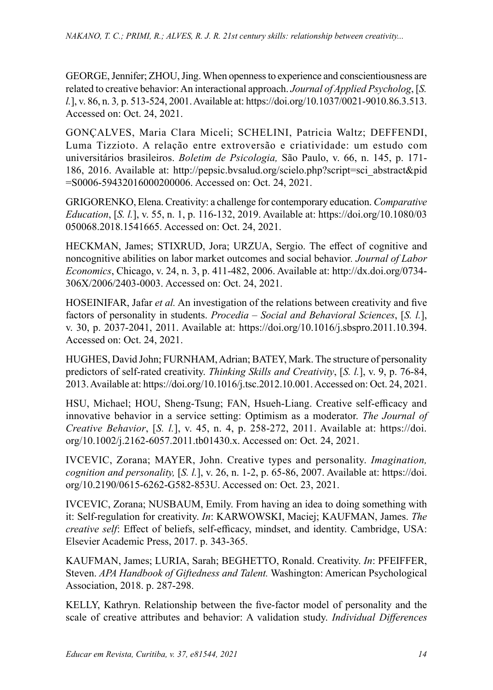GEORGE, Jennifer; ZHOU, Jing. When openness to experience and conscientiousness are related to creative behavior: An interactional approach. *Journal of Applied Psycholog*, [*S. l.*], v. 86, n. 3*,* p. 513-524, 2001. Available at: https://doi.org/10.1037/0021-9010.86.3.513. Accessed on: Oct. 24, 2021.

GONÇALVES, Maria Clara Miceli; SCHELINI, Patricia Waltz; DEFFENDI, Luma Tizzioto. A relação entre extroversão e criatividade: um estudo com universitários brasileiros. *Boletim de Psicologia,* São Paulo, v. 66, n. 145, p. 171- 186, 2016. Available at: http://pepsic.bvsalud.org/scielo.php?script=sci\_abstract&pid =S0006-59432016000200006. Accessed on: Oct. 24, 2021.

GRIGORENKO, Elena. Creativity: a challenge for contemporary education. *Comparative Education*, [*S. l.*], v. 55, n. 1, p. 116-132, 2019. Available at: https://doi.org/10.1080/03 050068.2018.1541665. Accessed on: Oct. 24, 2021.

HECKMAN, James; STIXRUD, Jora; URZUA, Sergio. The effect of cognitive and noncognitive abilities on labor market outcomes and social behavior*. Journal of Labor Economics*, Chicago, v. 24, n. 3, p. 411-482, 2006. Available at: http://dx.doi.org/0734- 306X/2006/2403-0003. Accessed on: Oct. 24, 2021.

HOSEINIFAR, Jafar *et al.* An investigation of the relations between creativity and five factors of personality in students. *Procedia – Social and Behavioral Sciences*, [*S. l.*], v. 30, p. 2037-2041, 2011. Available at: https://doi.org/10.1016/j.sbspro.2011.10.394. Accessed on: Oct. 24, 2021.

HUGHES, David John; FURNHAM, Adrian; BATEY, Mark. The structure of personality predictors of self-rated creativity. *Thinking Skills and Creativity*, [*S. l.*], v. 9, p. 76-84, 2013. Available at: https://doi.org/10.1016/j.tsc.2012.10.001. Accessed on: Oct. 24, 2021.

HSU, Michael; HOU, Sheng-Tsung; FAN, Hsueh-Liang. Creative self-efficacy and innovative behavior in a service setting: Optimism as a moderator. *The Journal of Creative Behavior*, [*S. l.*], v. 45, n. 4, p. 258-272, 2011. Available at: https://doi. org/10.1002/j.2162-6057.2011.tb01430.x. Accessed on: Oct. 24, 2021.

IVCEVIC, Zorana; MAYER, John. Creative types and personality. *Imagination, cognition and personality,* [*S. l.*], v. 26, n. 1-2, p. 65-86, 2007. Available at: https://doi. org/10.2190/0615-6262-G582-853U. Accessed on: Oct. 23, 2021.

IVCEVIC, Zorana; NUSBAUM, Emily. From having an idea to doing something with it: Self-regulation for creativity. *In*: KARWOWSKI, Maciej; KAUFMAN, James. *The creative self*: Effect of beliefs, self-efficacy, mindset, and identity. Cambridge, USA: Elsevier Academic Press, 2017. p. 343-365.

KAUFMAN, James; LURIA, Sarah; BEGHETTO, Ronald. Creativity. *In*: PFEIFFER, Steven. *APA Handbook of Giftedness and Talent.* Washington: American Psychological Association, 2018. p. 287-298.

KELLY, Kathryn. Relationship between the five-factor model of personality and the scale of creative attributes and behavior: A validation study. *Individual Differences*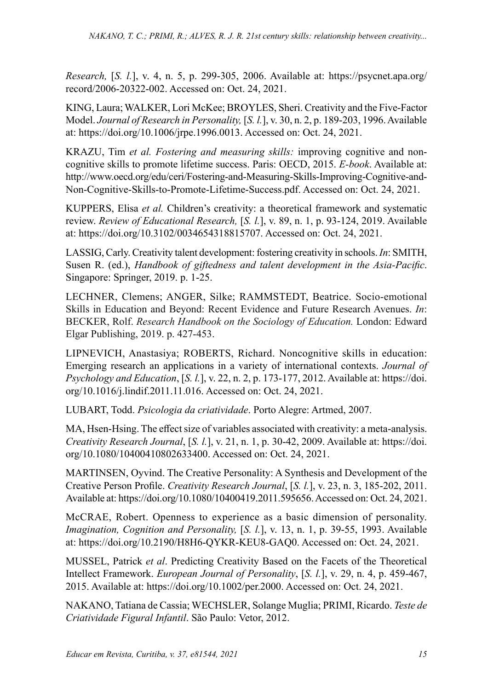*Research,* [*S. l.*], v. 4, n. 5, p. 299-305, 2006. Available at: https://psycnet.apa.org/ record/2006-20322-002. Accessed on: Oct. 24, 2021.

KING, Laura; WALKER, Lori McKee; BROYLES, Sheri. Creativity and the Five-Factor Model. *Journal of Research in Personality,* [*S. l.*], v. 30, n. 2, p. 189-203, 1996. Available at: https://doi.org/10.1006/jrpe.1996.0013. Accessed on: Oct. 24, 2021.

KRAZU, Tim *et al. Fostering and measuring skills:* improving cognitive and noncognitive skills to promote lifetime success. Paris: OECD, 2015. *E-book*. Available at: http://www.oecd.org/edu/ceri/Fostering-and-Measuring-Skills-Improving-Cognitive-and-Non-Cognitive-Skills-to-Promote-Lifetime-Success.pdf. Accessed on: Oct. 24, 2021.

KUPPERS, Elisa *et al.* Children's creativity: a theoretical framework and systematic review. *Review of Educational Research,* [*S. l.*], v. 89, n. 1, p. 93-124, 2019. Available at: https://doi.org/10.3102/0034654318815707. Accessed on: Oct. 24, 2021.

LASSIG, Carly. Creativity talent development: fostering creativity in schools. *In*: SMITH, Susen R. (ed.), *Handbook of giftedness and talent development in the Asia-Pacific*. Singapore: Springer, 2019. p. 1-25.

LECHNER, Clemens; ANGER, Silke; RAMMSTEDT, Beatrice. Socio-emotional Skills in Education and Beyond: Recent Evidence and Future Research Avenues. *In*: BECKER, Rolf. *Research Handbook on the Sociology of Education.* London: Edward Elgar Publishing, 2019. p. 427-453.

LIPNEVICH, Anastasiya; ROBERTS, Richard. Noncognitive skills in education: Emerging research an applications in a variety of international contexts. *Journal of Psychology and Education*, [*S. l.*], v. 22, n. 2, p. 173-177, 2012. Available at: https://doi. org/10.1016/j.lindif.2011.11.016. Accessed on: Oct. 24, 2021.

LUBART, Todd. *Psicologia da criatividade*. Porto Alegre: Artmed, 2007.

MA, Hsen-Hsing. The effect size of variables associated with creativity: a meta-analysis. *Creativity Research Journal*, [*S. l.*], v. 21, n. 1, p. 30-42, 2009. Available at: https://doi. org/10.1080/10400410802633400. Accessed on: Oct. 24, 2021.

MARTINSEN, Oyvind. The Creative Personality: A Synthesis and Development of the Creative Person Profile. *Creativity Research Journal*, [*S. l.*], v. 23, n. 3, 185-202, 2011. Available at: https://doi.org/10.1080/10400419.2011.595656. Accessed on: Oct. 24, 2021.

McCRAE, Robert. Openness to experience as a basic dimension of personality. *Imagination, Cognition and Personality,* [*S. l.*], v. 13, n. 1, p. 39-55, 1993. Available at: https://doi.org/10.2190/H8H6-QYKR-KEU8-GAQ0. Accessed on: Oct. 24, 2021.

MUSSEL, Patrick *et al*. Predicting Creativity Based on the Facets of the Theoretical Intellect Framework. *European Journal of Personality*, [*S. l.*], v. 29, n. 4, p. 459-467, 2015. Available at: https://doi.org/10.1002/per.2000. Accessed on: Oct. 24, 2021.

NAKANO, Tatiana de Cassia; WECHSLER, Solange Muglia; PRIMI, Ricardo. *Teste de Criatividade Figural Infantil*. São Paulo: Vetor, 2012.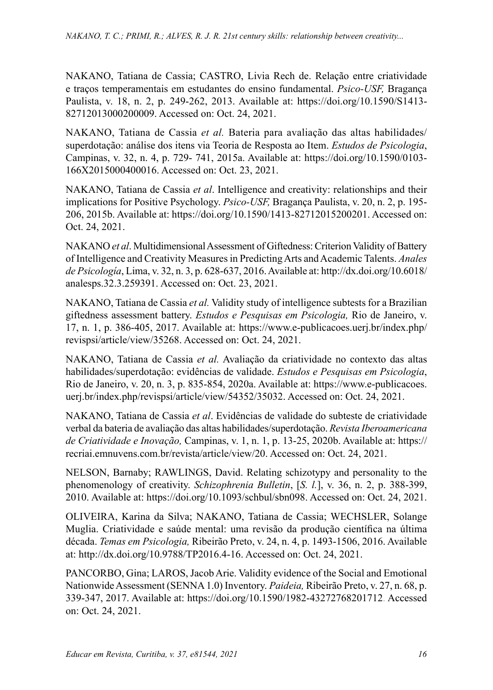NAKANO, Tatiana de Cassia; CASTRO, Livia Rech de. Relação entre criatividade e traços temperamentais em estudantes do ensino fundamental. *Psico-USF,* Bragança Paulista, v. 18, n. 2, p. 249-262, 2013. Available at: https://doi.org/10.1590/S1413- 82712013000200009. Accessed on: Oct. 24, 2021.

NAKANO, Tatiana de Cassia *et al.* Bateria para avaliação das altas habilidades/ superdotação: análise dos itens via Teoria de Resposta ao Item. *Estudos de Psicologia*, Campinas, v. 32, n. 4, p. 729- 741, 2015a. Available at: https://doi.org/10.1590/0103- 166X2015000400016. Accessed on: Oct. 23, 2021.

NAKANO, Tatiana de Cassia *et al*. Intelligence and creativity: relationships and their implications for Positive Psychology. *Psico-USF,* Bragança Paulista, v. 20, n. 2, p. 195- 206, 2015b. Available at: https://doi.org/10.1590/1413-82712015200201. Accessed on: Oct. 24, 2021.

NAKANO *et al*. Multidimensional Assessment of Giftedness: Criterion Validity of Battery of Intelligence and Creativity Measures in Predicting Arts and Academic Talents. *Anales de Psicología*, Lima, v. 32, n. 3, p. 628-637, 2016. Available at: http://dx.doi.org/10.6018/ analesps.32.3.259391. Accessed on: Oct. 23, 2021.

NAKANO, Tatiana de Cassia *et al.* Validity study of intelligence subtests for a Brazilian giftedness assessment battery. *Estudos e Pesquisas em Psicologia,* Rio de Janeiro, v. 17, n. 1, p. 386-405, 2017. Available at: https://www.e-publicacoes.uerj.br/index.php/ revispsi/article/view/35268. Accessed on: Oct. 24, 2021.

NAKANO, Tatiana de Cassia *et al.* Avaliação da criatividade no contexto das altas habilidades/superdotação: evidências de validade. *Estudos e Pesquisas em Psicologia*, Rio de Janeiro, v. 20, n. 3, p. 835-854, 2020a. Available at: https://www.e-publicacoes. uerj.br/index.php/revispsi/article/view/54352/35032. Accessed on: Oct. 24, 2021.

NAKANO, Tatiana de Cassia *et al*. Evidências de validade do subteste de criatividade verbal da bateria de avaliação das altas habilidades/superdotação. *Revista Iberoamericana de Criatividade e Inovação,* Campinas, v. 1, n. 1, p. 13-25, 2020b. Available at: https:// recriai.emnuvens.com.br/revista/article/view/20. Accessed on: Oct. 24, 2021.

NELSON, Barnaby; RAWLINGS, David. Relating schizotypy and personality to the phenomenology of creativity. *Schizophrenia Bulletin*, [*S. l.*], v. 36, n. 2, p. 388-399, 2010. Available at: https://doi.org/10.1093/schbul/sbn098. Accessed on: Oct. 24, 2021.

OLIVEIRA, Karina da Silva; NAKANO, Tatiana de Cassia; WECHSLER, Solange Muglia. Criatividade e saúde mental: uma revisão da produção científica na última década. *Temas em Psicologia,* Ribeirão Preto, v. 24, n. 4, p. 1493-1506, 2016. Available at: http://dx.doi.org/10.9788/TP2016.4-16. Accessed on: Oct. 24, 2021.

PANCORBO, Gina; LAROS, Jacob Arie. Validity evidence of the Social and Emotional Nationwide Assessment (SENNA 1.0) Inventory. *Paideia,* Ribeirão Preto, v. 27, n. 68, p. 339-347, 2017. Available at: https://doi.org/10.1590/1982-43272768201712. Accessed on: Oct. 24, 2021.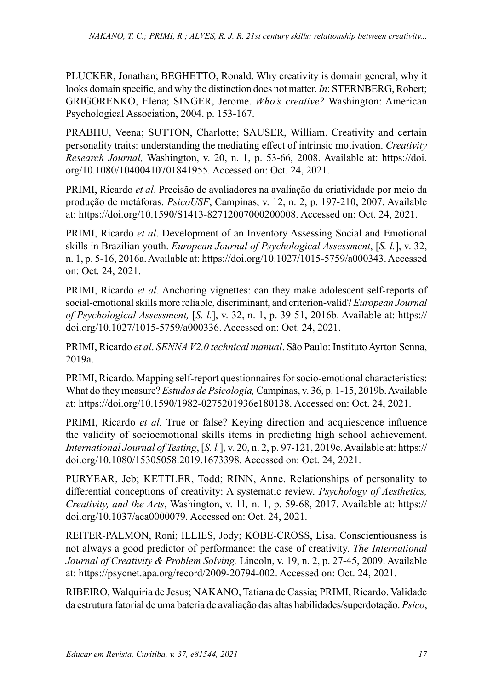PLUCKER, Jonathan; BEGHETTO, Ronald. Why creativity is domain general, why it looks domain specific, and why the distinction does not matter. *In*: STERNBERG, Robert; GRIGORENKO, Elena; SINGER, Jerome. *Who's creative?* Washington: American Psychological Association, 2004. p. 153-167.

PRABHU, Veena; SUTTON, Charlotte; SAUSER, William. Creativity and certain personality traits: understanding the mediating effect of intrinsic motivation. *Creativity Research Journal,* Washington, v. 20, n. 1, p. 53-66, 2008. Available at: https://doi. org/10.1080/10400410701841955. Accessed on: Oct. 24, 2021.

PRIMI, Ricardo *et al*. Precisão de avaliadores na avaliação da criatividade por meio da produção de metáforas. *PsicoUSF*, Campinas, v. 12, n. 2, p. 197-210, 2007. Available at: https://doi.org/10.1590/S1413-82712007000200008. Accessed on: Oct. 24, 2021.

PRIMI, Ricardo *et al*. Development of an Inventory Assessing Social and Emotional skills in Brazilian youth. *European Journal of Psychological Assessment*, [*S. l.*], v. 32, n. 1, p. 5-16, 2016a. Available at: https://doi.org/10.1027/1015-5759/a000343. Accessed on: Oct. 24, 2021.

PRIMI, Ricardo *et al.* Anchoring vignettes: can they make adolescent self-reports of social-emotional skills more reliable, discriminant, and criterion-valid? *European Journal of Psychological Assessment,* [*S. l.*], v. 32, n. 1, p. 39-51, 2016b. Available at: https:// doi.org/10.1027/1015-5759/a000336. Accessed on: Oct. 24, 2021.

PRIMI, Ricardo *et al*. *SENNA V2.0 technical manual*. São Paulo: Instituto Ayrton Senna, 2019a.

PRIMI, Ricardo. Mapping self-report questionnaires for socio-emotional characteristics: What do they measure? *Estudos de Psicologia,* Campinas, v. 36, p. 1-15, 2019b. Available at: https://doi.org/10.1590/1982-0275201936e180138. Accessed on: Oct. 24, 2021.

PRIMI, Ricardo *et al.* True or false? Keying direction and acquiescence influence the validity of socioemotional skills items in predicting high school achievement. *International Journal of Testing*, [*S. l.*], v. 20, n. 2, p. 97-121, 2019c. Available at: https:// doi.org/10.1080/15305058.2019.1673398. Accessed on: Oct. 24, 2021.

PURYEAR, Jeb; KETTLER, Todd; RINN, Anne. Relationships of personality to differential conceptions of creativity: A systematic review. *Psychology of Aesthetics, Creativity, and the Arts*, Washington, v. 11*,* n. 1, p. 59-68, 2017. Available at: https:// doi.org/10.1037/aca0000079. Accessed on: Oct. 24, 2021.

REITER-PALMON, Roni; ILLIES, Jody; KOBE-CROSS, Lisa. Conscientiousness is not always a good predictor of performance: the case of creativity. *The International Journal of Creativity & Problem Solving,* Lincoln, v. 19, n. 2, p. 27-45, 2009. Available at: https://psycnet.apa.org/record/2009-20794-002. Accessed on: Oct. 24, 2021.

RIBEIRO, Walquiria de Jesus; NAKANO, Tatiana de Cassia; PRIMI, Ricardo. Validade da estrutura fatorial de uma bateria de avaliação das altas habilidades/superdotação. *Psico*,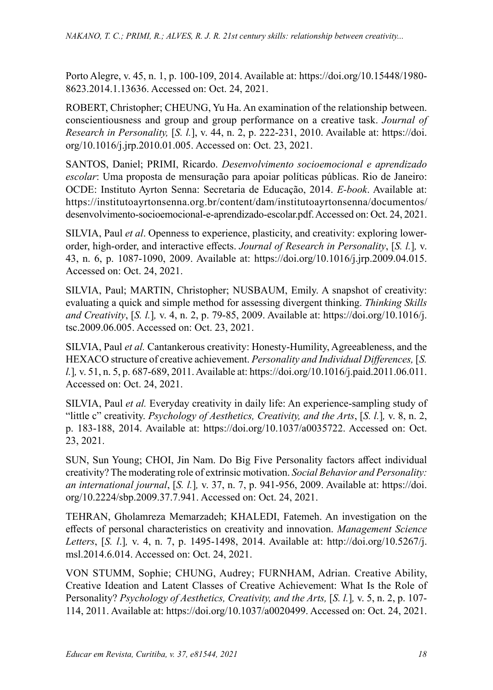Porto Alegre, v. 45, n. 1, p. 100-109, 2014. Available at: https://doi.org/10.15448/1980- 8623.2014.1.13636. Accessed on: Oct. 24, 2021.

ROBERT, Christopher; CHEUNG, Yu Ha. An examination of the relationship between. conscientiousness and group and group performance on a creative task. *Journal of Research in Personality,* [*S. l.*], v. 44, n. 2, p. 222-231, 2010. Available at: https://doi. org/10.1016/j.jrp.2010.01.005. Accessed on: Oct. 23, 2021.

SANTOS, Daniel; PRIMI, Ricardo. *Desenvolvimento socioemocional e aprendizado escolar*: Uma proposta de mensuração para apoiar políticas públicas. Rio de Janeiro: OCDE: Instituto Ayrton Senna: Secretaria de Educação, 2014. *E-book*. Available at: https://institutoayrtonsenna.org.br/content/dam/institutoayrtonsenna/documentos/ desenvolvimento-socioemocional-e-aprendizado-escolar.pdf. Accessed on: Oct. 24, 2021.

SILVIA, Paul *et al*. Openness to experience, plasticity, and creativity: exploring lowerorder, high-order, and interactive effects. *Journal of Research in Personality*, [*S. l.*]*,* v. 43, n. 6, p. 1087-1090, 2009. Available at: https://doi.org/10.1016/j.jrp.2009.04.015. Accessed on: Oct. 24, 2021.

SILVIA, Paul; MARTIN, Christopher; NUSBAUM, Emily. A snapshot of creativity: evaluating a quick and simple method for assessing divergent thinking. *Thinking Skills and Creativity*, [*S. l.*]*,* v. 4, n. 2, p. 79-85, 2009. Available at: https://doi.org/10.1016/j. tsc.2009.06.005. Accessed on: Oct. 23, 2021.

SILVIA, Paul *et al.* Cantankerous creativity: Honesty-Humility, Agreeableness, and the HEXACO structure of creative achievement. *Personality and Individual Differences,* [*S. l.*]*,* v. 51, n. 5, p. 687-689, 2011. Available at: https://doi.org/10.1016/j.paid.2011.06.011. Accessed on: Oct. 24, 2021.

SILVIA, Paul *et al.* Everyday creativity in daily life: An experience-sampling study of "little c" creativity. *Psychology of Aesthetics, Creativity, and the Arts*, [*S. l.*]*,* v. 8, n. 2, p. 183-188, 2014. Available at: https://doi.org/10.1037/a0035722. Accessed on: Oct. 23, 2021.

SUN, Sun Young; CHOI, Jin Nam. Do Big Five Personality factors affect individual creativity? The moderating role of extrinsic motivation. *Social Behavior and Personality: an international journal*, [*S. l.*]*,* v. 37, n. 7, p. 941-956, 2009. Available at: https://doi. org/10.2224/sbp.2009.37.7.941. Accessed on: Oct. 24, 2021.

TEHRAN, Gholamreza Memarzadeh; KHALEDI, Fatemeh. An investigation on the effects of personal characteristics on creativity and innovation. *Management Science Letters*, [*S. l*.]*,* v. 4, n. 7, p. 1495-1498, 2014. Available at: http://doi.org/10.5267/j. msl.2014.6.014. Accessed on: Oct. 24, 2021.

VON STUMM, Sophie; CHUNG, Audrey; FURNHAM, Adrian. Creative Ability, Creative Ideation and Latent Classes of Creative Achievement: What Is the Role of Personality? *Psychology of Aesthetics, Creativity, and the Arts,* [*S. l.*]*,* v. 5, n. 2, p. 107- 114, 2011. Available at: https://doi.org/10.1037/a0020499. Accessed on: Oct. 24, 2021.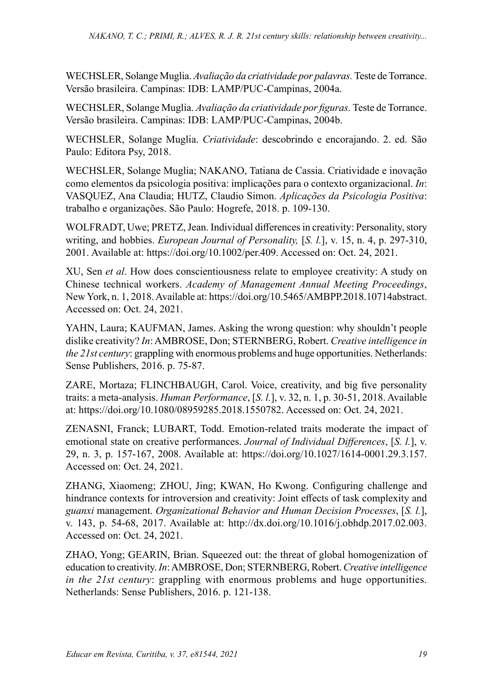WECHSLER, Solange Muglia. *Avaliação da criatividade por palavras.* Teste de Torrance. Versão brasileira. Campinas: IDB: LAMP/PUC-Campinas, 2004a.

WECHSLER, Solange Muglia. *Avaliação da criatividade por figuras.* Teste de Torrance. Versão brasileira. Campinas: IDB: LAMP/PUC-Campinas, 2004b.

WECHSLER, Solange Muglia. *Criatividade*: descobrindo e encorajando. 2. ed. São Paulo: Editora Psy, 2018.

WECHSLER, Solange Muglia; NAKANO, Tatiana de Cassia. Criatividade e inovação como elementos da psicologia positiva: implicações para o contexto organizacional. *In*: VASQUEZ, Ana Claudia; HUTZ, Claudio Simon. *Aplicações da Psicologia Positiva*: trabalho e organizações. São Paulo: Hogrefe, 2018. p. 109-130.

WOLFRADT, Uwe; PRETZ, Jean. Individual differences in creativity: Personality, story writing, and hobbies. *European Journal of Personality,* [*S. l.*], v. 15, n. 4, p. 297-310, 2001. Available at: https://doi.org/10.1002/per.409. Accessed on: Oct. 24, 2021.

XU, Sen *et al*. How does conscientiousness relate to employee creativity: A study on Chinese technical workers. *Academy of Management Annual Meeting Proceedings*, New York, n. 1, 2018. Available at: https://doi.org/10.5465/AMBPP.2018.10714abstract. Accessed on: Oct. 24, 2021.

YAHN, Laura; KAUFMAN, James. Asking the wrong question: why shouldn't people dislike creativity? *In*: AMBROSE, Don; STERNBERG, Robert. *Creative intelligence in the 21st century*: grappling with enormous problems and huge opportunities. Netherlands: Sense Publishers, 2016. p. 75-87.

ZARE, Mortaza; FLINCHBAUGH, Carol. Voice, creativity, and big five personality traits: a meta-analysis. *Human Performance*, [*S. l.*], v. 32, n. 1, p. 30-51, 2018. Available at: https://doi.org/10.1080/08959285.2018.1550782. Accessed on: Oct. 24, 2021.

ZENASNI, Franck; LUBART, Todd. Emotion-related traits moderate the impact of emotional state on creative performances. *Journal of Individual Differences*, [*S. l.*], v. 29, n. 3, p. 157-167, 2008. Available at: https://doi.org/10.1027/1614-0001.29.3.157. Accessed on: Oct. 24, 2021.

ZHANG, Xiaomeng; ZHOU, Jing; KWAN, Ho Kwong. Configuring challenge and hindrance contexts for introversion and creativity: Joint effects of task complexity and *guanxi* management. *Organizational Behavior and Human Decision Processes*, [*S. l.*], v. 143, p. 54-68, 2017. Available at: http://dx.doi.org/10.1016/j.obhdp.2017.02.003. Accessed on: Oct. 24, 2021.

ZHAO, Yong; GEARIN, Brian. Squeezed out: the threat of global homogenization of education to creativity. *In*: AMBROSE, Don; STERNBERG, Robert. *Creative intelligence in the 21st century*: grappling with enormous problems and huge opportunities. Netherlands: Sense Publishers, 2016. p. 121-138.